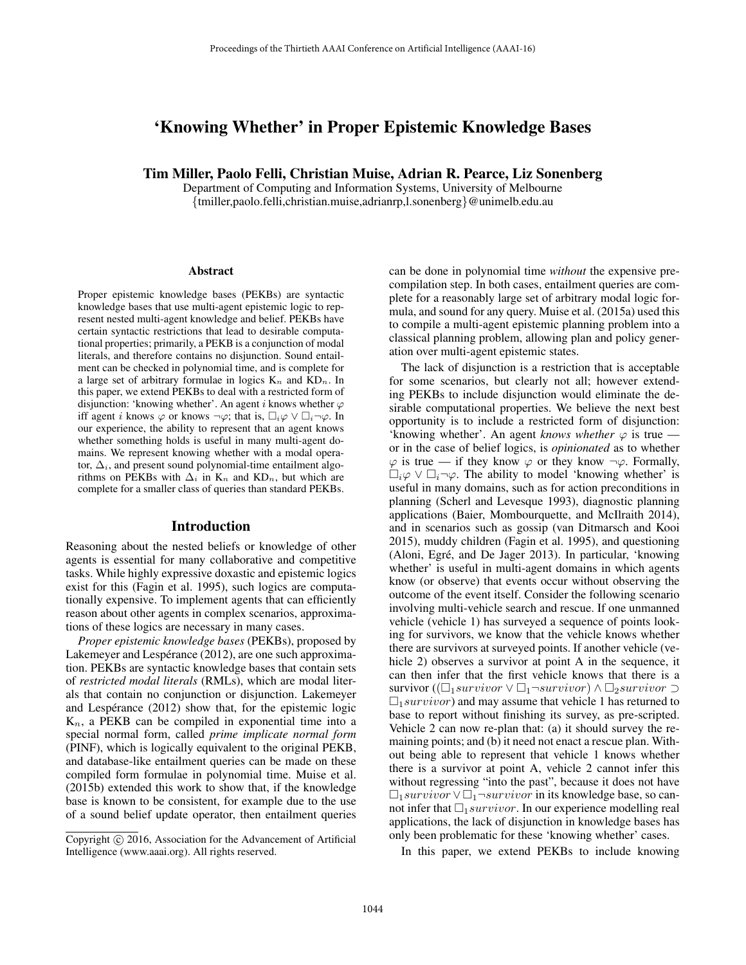# 'Knowing Whether' in Proper Epistemic Knowledge Bases

Tim Miller, Paolo Felli, Christian Muise, Adrian R. Pearce, Liz Sonenberg

Department of Computing and Information Systems, University of Melbourne {tmiller,paolo.felli,christian.muise,adrianrp,l.sonenberg}@unimelb.edu.au

#### Abstract

Proper epistemic knowledge bases (PEKBs) are syntactic knowledge bases that use multi-agent epistemic logic to represent nested multi-agent knowledge and belief. PEKBs have certain syntactic restrictions that lead to desirable computational properties; primarily, a PEKB is a conjunction of modal literals, and therefore contains no disjunction. Sound entailment can be checked in polynomial time, and is complete for a large set of arbitrary formulae in logics  $K_n$  and  $KD_n$ . In this paper, we extend PEKBs to deal with a restricted form of disjunction: 'knowing whether'. An agent i knows whether  $\varphi$ iff agent *i* knows  $\varphi$  or knows  $\neg \varphi$ ; that is,  $\Box_i \varphi \lor \Box_i \neg \varphi$ . In our experience, the ability to represent that an agent knows whether something holds is useful in many multi-agent domains. We represent knowing whether with a modal operator,  $\Delta_i$ , and present sound polynomial-time entailment algorithms on PEKBs with  $\Delta_i$  in K<sub>n</sub> and KD<sub>n</sub>, but which are complete for a smaller class of queries than standard PEKBs.

#### Introduction

Reasoning about the nested beliefs or knowledge of other agents is essential for many collaborative and competitive tasks. While highly expressive doxastic and epistemic logics exist for this (Fagin et al. 1995), such logics are computationally expensive. To implement agents that can efficiently reason about other agents in complex scenarios, approximations of these logics are necessary in many cases.

*Proper epistemic knowledge bases* (PEKBs), proposed by Lakemeyer and Lespérance (2012), are one such approximation. PEKBs are syntactic knowledge bases that contain sets of *restricted modal literals* (RMLs), which are modal literals that contain no conjunction or disjunction. Lakemeyer and Lespérance  $(2012)$  show that, for the epistemic logic  $K_n$ , a PEKB can be compiled in exponential time into a special normal form, called *prime implicate normal form* (PINF), which is logically equivalent to the original PEKB, and database-like entailment queries can be made on these compiled form formulae in polynomial time. Muise et al. (2015b) extended this work to show that, if the knowledge base is known to be consistent, for example due to the use of a sound belief update operator, then entailment queries

can be done in polynomial time *without* the expensive precompilation step. In both cases, entailment queries are complete for a reasonably large set of arbitrary modal logic formula, and sound for any query. Muise et al. (2015a) used this to compile a multi-agent epistemic planning problem into a classical planning problem, allowing plan and policy generation over multi-agent epistemic states.

The lack of disjunction is a restriction that is acceptable for some scenarios, but clearly not all; however extending PEKBs to include disjunction would eliminate the desirable computational properties. We believe the next best opportunity is to include a restricted form of disjunction: 'knowing whether'. An agent *knows whether*  $\varphi$  is true – or in the case of belief logics, is *opinionated* as to whether  $\varphi$  is true — if they know  $\varphi$  or they know  $\neg \varphi$ . Formally,  $\Box_i \varphi \lor \Box_i \neg \varphi$ . The ability to model 'knowing whether' is useful in many domains, such as for action preconditions in planning (Scherl and Levesque 1993), diagnostic planning applications (Baier, Mombourquette, and McIlraith 2014), and in scenarios such as gossip (van Ditmarsch and Kooi 2015), muddy children (Fagin et al. 1995), and questioning (Aloni, Egré, and De Jager 2013). In particular, 'knowing whether' is useful in multi-agent domains in which agents know (or observe) that events occur without observing the outcome of the event itself. Consider the following scenario involving multi-vehicle search and rescue. If one unmanned vehicle (vehicle 1) has surveyed a sequence of points looking for survivors, we know that the vehicle knows whether there are survivors at surveyed points. If another vehicle (vehicle 2) observes a survivor at point A in the sequence, it can then infer that the first vehicle knows that there is a survivor ( $(\Box_1$ survivor  $\lor \Box_1 \neg$ survivor) ∧ $\Box_2$ survivor  $\supset$  $\square_1$ *survivor*) and may assume that vehicle 1 has returned to base to report without finishing its survey, as pre-scripted. Vehicle 2 can now re-plan that: (a) it should survey the remaining points; and (b) it need not enact a rescue plan. Without being able to represent that vehicle 1 knows whether there is a survivor at point A, vehicle 2 cannot infer this without regressing "into the past", because it does not have  $\Box_1$ survivor  $\lor$  $\Box_1 \neg$ survivor in its knowledge base, so cannot infer that  $\square_1$  survivor. In our experience modelling real applications, the lack of disjunction in knowledge bases has only been problematic for these 'knowing whether' cases.

In this paper, we extend PEKBs to include knowing

Copyright  $\odot$  2016, Association for the Advancement of Artificial Intelligence (www.aaai.org). All rights reserved.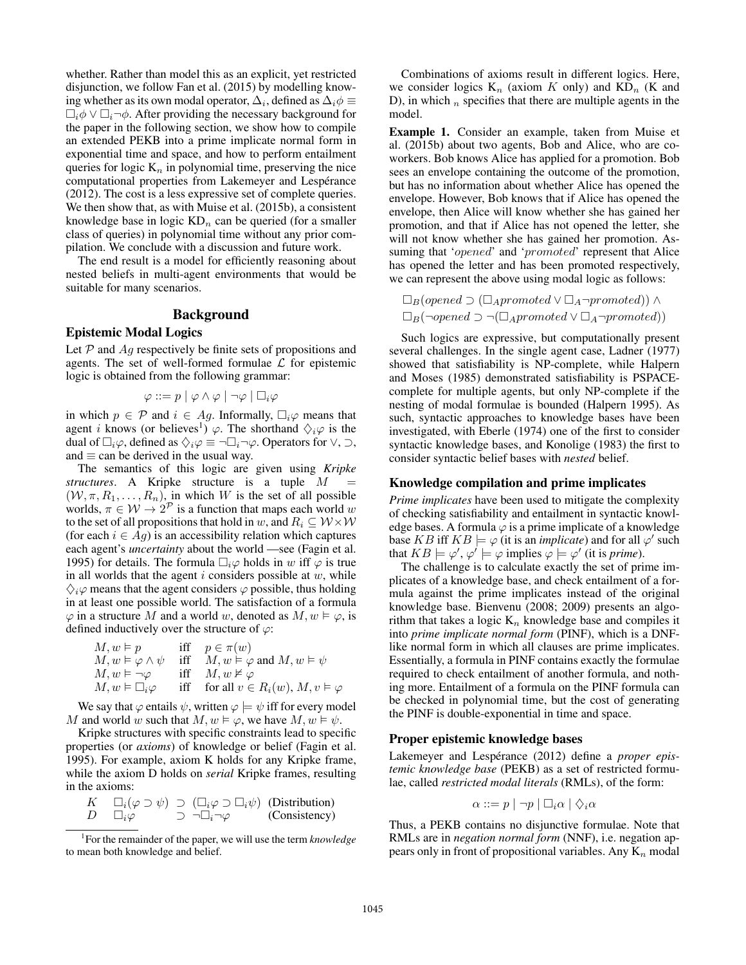whether. Rather than model this as an explicit, yet restricted disjunction, we follow Fan et al. (2015) by modelling knowing whether as its own modal operator,  $\Delta_i$ , defined as  $\Delta_i \phi \equiv$  $\Box_i \phi \lor \Box_i \neg \phi$ . After providing the necessary background for the paper in the following section, we show how to compile an extended PEKB into a prime implicate normal form in exponential time and space, and how to perform entailment queries for logic  $K_n$  in polynomial time, preserving the nice computational properties from Lakemeyer and Lespérance (2012). The cost is a less expressive set of complete queries. We then show that, as with Muise et al. (2015b), a consistent knowledge base in logic  $KD_n$  can be queried (for a smaller class of queries) in polynomial time without any prior compilation. We conclude with a discussion and future work.

The end result is a model for efficiently reasoning about nested beliefs in multi-agent environments that would be suitable for many scenarios.

## Background

# Epistemic Modal Logics

Let  $P$  and  $Ag$  respectively be finite sets of propositions and agents. The set of well-formed formulae  $\mathcal L$  for epistemic logic is obtained from the following grammar:

$$
\varphi ::= p \mid \varphi \land \varphi \mid \neg \varphi \mid \Box_i \varphi
$$

in which  $p \in \mathcal{P}$  and  $i \in Ag$ . Informally,  $\Box_i \varphi$  means that agent *i* knows (or believes<sup>1</sup>)  $\varphi$ . The shorthand  $\Diamond_i\varphi$  is the dual of  $\Box_i\varphi$ , defined as  $\Diamond_i\varphi \equiv \neg \Box_i \neg \varphi$ . Operators for  $\lor$ ,  $\supset$ , and  $\equiv$  can be derived in the usual way.

The semantics of this logic are given using *Kripke structures*. A Kripke structure is a tuple M =  $(W, \pi, R_1, \ldots, R_n)$ , in which W is the set of all possible worlds,  $\pi \in \mathcal{W} \rightarrow 2^{\mathcal{P}}$  is a function that maps each world w to the set of all propositions that hold in w, and  $R_i \subseteq W \times W$ (for each  $i \in Ag$ ) is an accessibility relation which captures each agent's *uncertainty* about the world —see (Fagin et al. 1995) for details. The formula  $\Box_i \varphi$  holds in w iff  $\varphi$  is true in all worlds that the agent  $i$  considers possible at  $w$ , while  $\Diamond_i\varphi$  means that the agent considers  $\varphi$  possible, thus holding in at least one possible world. The satisfaction of a formula  $\varphi$  in a structure M and a world w, denoted as  $M, w \models \varphi$ , is defined inductively over the structure of  $\varphi$ :

$$
\begin{array}{llll} M,w\models p & \quad \text{iff} & p\in \pi(w)\\ M,w\models\varphi\wedge\psi & \quad \text{iff} & M,w\models\varphi\text{ and }M,w\models\psi\\ M,w\models\neg\varphi & \quad \text{iff} & M,w\not\models\varphi\\ M,w\models\Box_i\varphi & \quad \text{iff} & \quad \text{for all }v\in R_i(w),\,M,v\models\varphi \end{array}
$$

We say that  $\varphi$  entails  $\psi$ , written  $\varphi \models \psi$  iff for every model M and world w such that  $M, w \models \varphi$ , we have  $M, w \models \psi$ .

Kripke structures with specific constraints lead to specific properties (or *axioms*) of knowledge or belief (Fagin et al. 1995). For example, axiom K holds for any Kripke frame, while the axiom D holds on *serial* Kripke frames, resulting in the axioms:

| К |                  | $\Box_i(\varphi \supset \psi) \supset (\Box_i \varphi \supset \Box_i \psi)$ (Distribution) |               |
|---|------------------|--------------------------------------------------------------------------------------------|---------------|
| D | $\Box_i \varphi$ | $\neg\Box_i\neg\varphi$                                                                    | (Consistency) |

<sup>1</sup> For the remainder of the paper, we will use the term *knowledge* to mean both knowledge and belief.

Combinations of axioms result in different logics. Here, we consider logics  $K_n$  (axiom K only) and  $KD_n$  (K and D), in which  $_n$  specifies that there are multiple agents in the model.

Example 1. Consider an example, taken from Muise et al. (2015b) about two agents, Bob and Alice, who are coworkers. Bob knows Alice has applied for a promotion. Bob sees an envelope containing the outcome of the promotion, but has no information about whether Alice has opened the envelope. However, Bob knows that if Alice has opened the envelope, then Alice will know whether she has gained her promotion, and that if Alice has not opened the letter, she will not know whether she has gained her promotion. Assuming that '*opened'* and '*promoted'* represent that Alice has opened the letter and has been promoted respectively, we can represent the above using modal logic as follows:

$$
\Box_B(opened \supset (\Box_{A} promoted \vee \Box_A \neg promoted)) \wedge \Box_B(\neg opened \supset \neg (\Box_{A} promoted \vee \Box_A \neg promoted))
$$

Such logics are expressive, but computationally present several challenges. In the single agent case, Ladner (1977) showed that satisfiability is NP-complete, while Halpern and Moses (1985) demonstrated satisfiability is PSPACEcomplete for multiple agents, but only NP-complete if the nesting of modal formulae is bounded (Halpern 1995). As such, syntactic approaches to knowledge bases have been investigated, with Eberle (1974) one of the first to consider syntactic knowledge bases, and Konolige (1983) the first to consider syntactic belief bases with *nested* belief.

#### Knowledge compilation and prime implicates

*Prime implicates* have been used to mitigate the complexity of checking satisfiability and entailment in syntactic knowledge bases. A formula  $\varphi$  is a prime implicate of a knowledge base KB iff  $KB \models \varphi$  (it is an *implicate*) and for all  $\varphi'$  such that  $KB \models \varphi', \varphi' \models \varphi$  implies  $\varphi \models \varphi'$  (it is *prime*).

The challenge is to calculate exactly the set of prime implicates of a knowledge base, and check entailment of a formula against the prime implicates instead of the original knowledge base. Bienvenu (2008; 2009) presents an algorithm that takes a logic  $K_n$  knowledge base and compiles it into *prime implicate normal form* (PINF), which is a DNFlike normal form in which all clauses are prime implicates. Essentially, a formula in PINF contains exactly the formulae required to check entailment of another formula, and nothing more. Entailment of a formula on the PINF formula can be checked in polynomial time, but the cost of generating the PINF is double-exponential in time and space.

#### Proper epistemic knowledge bases

Lakemeyer and Lespérance (2012) define a *proper epistemic knowledge base* (PEKB) as a set of restricted formulae, called *restricted modal literals* (RMLs), of the form:

$$
\alpha ::= p \mid \neg p \mid \Box_i \alpha \mid \Diamond_i \alpha
$$

Thus, a PEKB contains no disjunctive formulae. Note that RMLs are in *negation normal form* (NNF), i.e. negation appears only in front of propositional variables. Any  $K_n$  modal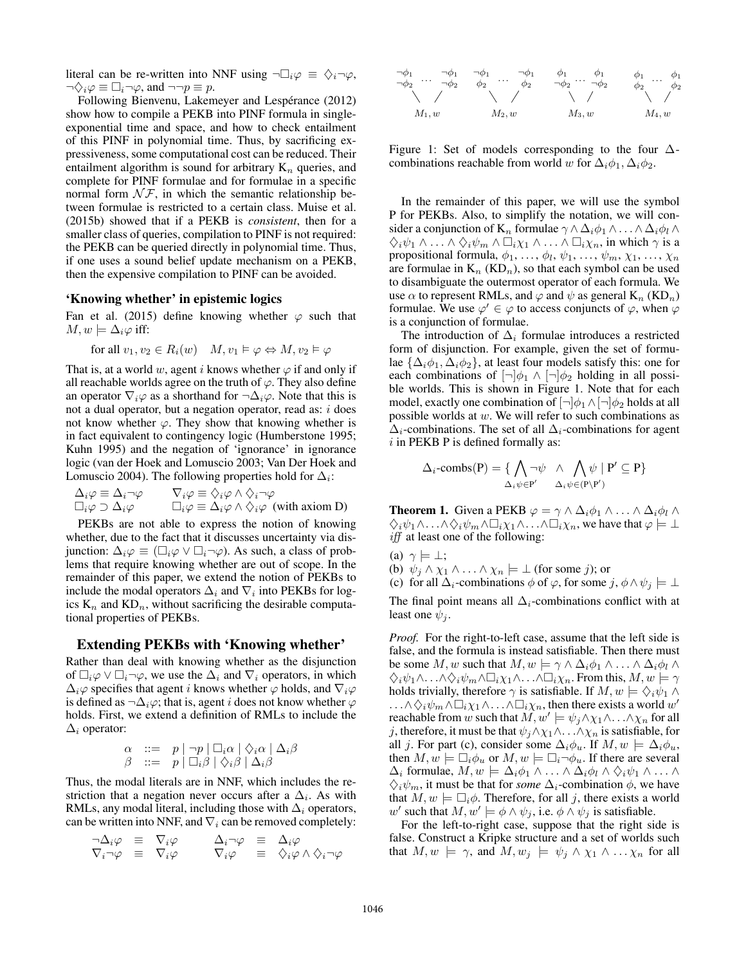literal can be re-written into NNF using  $\neg \Box_i \varphi \equiv \Diamond_i \neg \varphi$ ,  $\neg \diamondsuit_i \varphi \equiv \Box_i \neg \varphi$ , and  $\neg \neg p \equiv p$ .

Following Bienvenu, Lakemeyer and Lespérance (2012) show how to compile a PEKB into PINF formula in singleexponential time and space, and how to check entailment of this PINF in polynomial time. Thus, by sacrificing expressiveness, some computational cost can be reduced. Their entailment algorithm is sound for arbitrary  $K_n$  queries, and complete for PINF formulae and for formulae in a specific normal form  $\mathcal{N} \mathcal{F}$ , in which the semantic relationship between formulae is restricted to a certain class. Muise et al. (2015b) showed that if a PEKB is *consistent*, then for a smaller class of queries, compilation to PINF is not required: the PEKB can be queried directly in polynomial time. Thus, if one uses a sound belief update mechanism on a PEKB, then the expensive compilation to PINF can be avoided.

## 'Knowing whether' in epistemic logics

Fan et al. (2015) define knowing whether  $\varphi$  such that  $M, w \models \Delta_i \varphi$  iff:

for all 
$$
v_1, v_2 \in R_i(w)
$$
  $M, v_1 \vDash \varphi \Leftrightarrow M, v_2 \vDash \varphi$ 

That is, at a world w, agent i knows whether  $\varphi$  if and only if all reachable worlds agree on the truth of  $\varphi$ . They also define an operator  $\nabla_i\varphi$  as a shorthand for  $\neg \Delta_i\varphi$ . Note that this is not a dual operator, but a negation operator, read as:  $i$  does not know whether  $\varphi$ . They show that knowing whether is in fact equivalent to contingency logic (Humberstone 1995; Kuhn 1995) and the negation of 'ignorance' in ignorance logic (van der Hoek and Lomuscio 2003; Van Der Hoek and Lomuscio 2004). The following properties hold for  $\Delta_i$ :

$$
\Delta_i \varphi \equiv \Delta_i \neg \varphi \qquad \nabla_i \varphi \equiv \Diamond_i \varphi \land \Diamond_i \neg \varphi
$$
\n
$$
\Box_i \varphi \supset \Delta_i \varphi \qquad \Box_i \varphi \equiv \Delta_i \varphi \land \Diamond_i \varphi \quad \text{(with axiom D)}
$$

PEKBs are not able to express the notion of knowing whether, due to the fact that it discusses uncertainty via disjunction:  $\Delta_i \varphi \equiv (\Box_i \varphi \lor \Box_i \neg \varphi)$ . As such, a class of problems that require knowing whether are out of scope. In the remainder of this paper, we extend the notion of PEKBs to include the modal operators  $\Delta_i$  and  $\nabla_i$  into PEKBs for logics  $K_n$  and  $KD_n$ , without sacrificing the desirable computational properties of PEKBs.

#### Extending PEKBs with 'Knowing whether'

Rather than deal with knowing whether as the disjunction of  $\Box_i \varphi \lor \Box_i \neg \varphi$ , we use the  $\Delta_i$  and  $\nabla_i$  operators, in which  $\Delta_i\varphi$  specifies that agent i knows whether  $\varphi$  holds, and  $\nabla_i\varphi$ is defined as  $\neg \Delta_i \varphi$ ; that is, agent *i* does not know whether  $\varphi$ holds. First, we extend a definition of RMLs to include the  $\Delta_i$  operator:

$$
\begin{array}{ll}\n\alpha & ::= & p \mid \neg p \mid \Box_i \alpha \mid \Diamond_i \alpha \mid \Delta_i \beta \\
\beta & ::= & p \mid \Box_i \beta \mid \Diamond_i \beta \mid \Delta_i \beta\n\end{array}
$$

Thus, the modal literals are in NNF, which includes the restriction that a negation never occurs after a  $\Delta_i$ . As with RMLs, any modal literal, including those with  $\Delta_i$  operators, can be written into NNF, and  $\nabla_i$  can be removed completely:

$$
\begin{array}{rcl}\n\lnot \Delta_i \varphi & \equiv & \nabla_i \varphi \\
\nabla_i \lnot \varphi & \equiv & \nabla_i \varphi \\
\end{array}\n\qquad\n\begin{array}{rcl}\n\Delta_i \lnot \varphi & \equiv & \Delta_i \varphi \\
\nabla_i \varphi & \equiv & \Delta_i \varphi \\
\end{array}\n\qquad\n\begin{array}{rcl}\n\Delta_i \lnot \varphi & \equiv & \Delta_i \varphi \\
\end{array}
$$



Figure 1: Set of models corresponding to the four  $\Delta$ combinations reachable from world w for  $\Delta_i \phi_1$ ,  $\Delta_i \phi_2$ .

In the remainder of this paper, we will use the symbol P for PEKBs. Also, to simplify the notation, we will consider a conjunction of K<sub>n</sub> formulae  $\gamma \wedge \Delta_i \phi_1 \wedge \ldots \wedge \Delta_i \phi_l \wedge$  $\Diamond_i \psi_1 \wedge \ldots \wedge \Diamond_i \psi_m \wedge \Box_i \chi_1 \wedge \ldots \wedge \Box_i \chi_n$ , in which  $\gamma$  is a propositional formula,  $\phi_1, \ldots, \phi_l, \psi_1, \ldots, \psi_m, \chi_1, \ldots, \chi_n$ are formulae in  $K_n$  (KD<sub>n</sub>), so that each symbol can be used to disambiguate the outermost operator of each formula. We use  $\alpha$  to represent RMLs, and  $\varphi$  and  $\psi$  as general  $K_n$  (KD<sub>n</sub>) formulae. We use  $\varphi' \in \varphi$  to access conjuncts of  $\varphi$ , when  $\varphi$ is a conjunction of formulae.

The introduction of  $\Delta_i$  formulae introduces a restricted form of disjunction. For example, given the set of formulae  $\{\Delta_i \phi_1, \Delta_i \phi_2\}$ , at least four models satisfy this: one for each combinations of  $\lceil \neg \rceil \phi_1 \wedge \lceil \neg \rceil \phi_2$  holding in all possible worlds. This is shown in Figure 1. Note that for each model, exactly one combination of  $\lceil \neg \rceil \phi_1 \wedge \lceil \neg \rceil \phi_2$  holds at all possible worlds at w. We will refer to such combinations as  $\Delta_i$ -combinations. The set of all  $\Delta_i$ -combinations for agent  $i$  in PEKB P is defined formally as:

$$
\Delta_i\text{-combs}(P) = \{ \bigwedge_{\Delta_i\psi \in P'} \neg \psi \land \bigwedge_{\Delta_i\psi \in (P \setminus P')} \psi \mid P' \subseteq P \}
$$

**Theorem 1.** Given a PEKB  $\varphi = \gamma \wedge \Delta_i \phi_1 \wedge \ldots \wedge \Delta_i \phi_l \wedge \Delta_i$  $\bigtriangleup_i \psi_1 \wedge \ldots \wedge \bigtriangleup_i \psi_m \wedge \Box_i \chi_1 \wedge \ldots \wedge \Box_i \chi_n$ , we have that  $\varphi \models \bot$ iff at least one of the following:

(a)  $\gamma \models \bot;$ 

(b)  $\psi_j \wedge \chi_1 \wedge \ldots \wedge \chi_n \models \bot$  (for some j); or

(c) for all  $\Delta_i$ -combinations  $\phi$  of  $\varphi$ , for some  $j, \phi \wedge \psi_j \models \bot$ 

The final point means all  $\Delta_i$ -combinations conflict with at least one  $\psi_i$ .

*Proof.* For the right-to-left case, assume that the left side is false, and the formula is instead satisfiable. Then there must be some M, w such that  $M, w \models \gamma \wedge \Delta_i \phi_1 \wedge \ldots \wedge \Delta_i \phi_l \wedge$  $\bigtriangledown_i \psi_1 \wedge \ldots \wedge \bigtriangledown_i \psi_m \wedge \Box_i \chi_1 \wedge \ldots \wedge \Box_i \chi_n$ . From this,  $M, w \models \gamma$ holds trivially, therefore  $\gamma$  is satisfiable. If  $M, w \models \Diamond_i \psi_1 \land \Box$  $\ldots \wedge \Diamond_i \psi_m \wedge \Box_i \chi_1 \wedge \ldots \wedge \Box_i \chi_n$ , then there exists a world  $w'$ reachable from  $w$  such that  $M, w' \models \psi_j \wedge \chi_1 \wedge \ldots \wedge \chi_n$  for all j, therefore, it must be that  $\psi_i \wedge \chi_1 \wedge \ldots \wedge \chi_n$  is satisfiable, for all j. For part (c), consider some  $\Delta_i \phi_u$ . If  $M, w \models \Delta_i \phi_u$ , then  $M, w \models \Box_i \phi_u$  or  $M, w \models \Box_i \neg \phi_u$ . If there are several  $\Delta_i$  formulae,  $M, w \models \Delta_i \phi_1 \wedge \ldots \wedge \Delta_i \phi_l \wedge \Diamond_i \psi_1 \wedge \ldots \wedge \Diamond_i$  $\Diamond_i \psi_m$ , it must be that for *some*  $\Delta_i$ -combination  $\phi$ , we have that  $M, w \models \Box_i \phi$ . Therefore, for all j, there exists a world w' such that  $M, w' \models \phi \land \psi_j$ , i.e.  $\phi \land \psi_j$  is satisfiable.

For the left-to-right case, suppose that the right side is false. Construct a Kripke structure and a set of worlds such that  $M, w \models \gamma$ , and  $M, w_j \models \psi_j \land \chi_1 \land \ldots \chi_n$  for all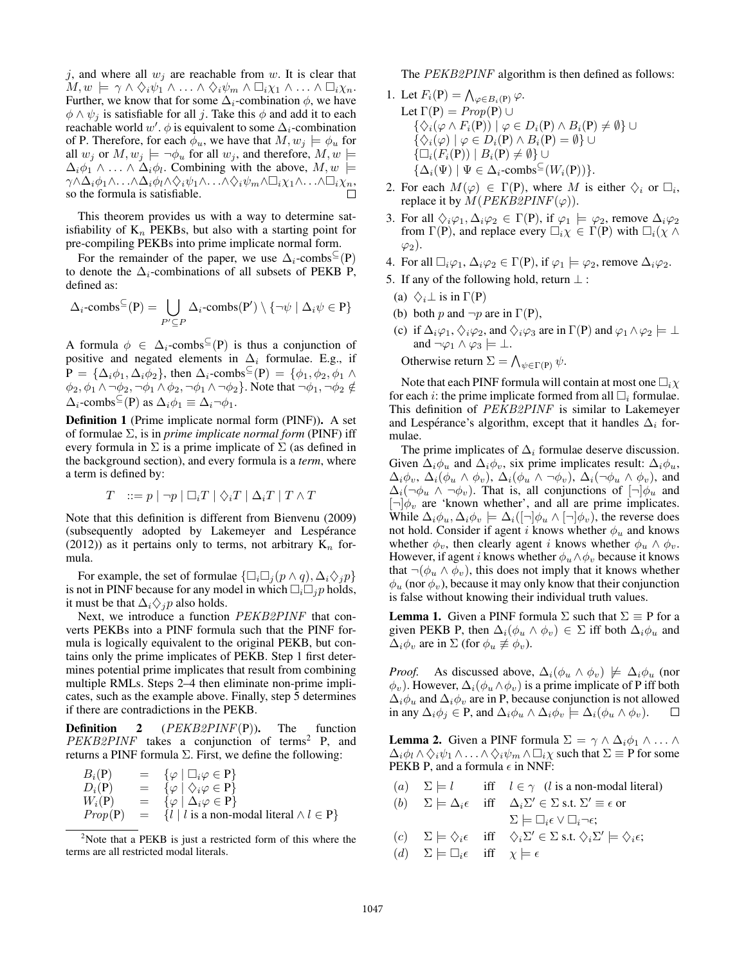j, and where all  $w_j$  are reachable from w. It is clear that  $M, w \models \gamma \wedge \Diamond_i \psi_1 \wedge \ldots \wedge \Diamond_i \psi_m \wedge \Box_i \chi_1 \wedge \ldots \wedge \Box_i \chi_n.$ Further, we know that for some  $\Delta_i$ -combination  $\phi$ , we have  $\phi \wedge \psi_i$  is satisfiable for all j. Take this  $\phi$  and add it to each reachable world  $w'$ .  $\phi$  is equivalent to some  $\Delta_i$ -combination of P. Therefore, for each  $\phi_u$ , we have that  $M, w_j \models \phi_u$  for all  $w_j$  or  $M, w_j \models \neg \phi_u$  for all  $w_j$ , and therefore,  $M, w \models$  $\Delta_i \phi_1 \wedge \ldots \wedge \Delta_i \phi_l$ . Combining with the above,  $M, w \models$  $\gamma \wedge \Delta_i \phi_1 \wedge \ldots \wedge \Delta_i \phi_l \wedge \Diamond_i \psi_1 \wedge \ldots \wedge \Diamond_i \psi_m \wedge \Box_i \chi_1 \wedge \ldots \wedge \Box_i \chi_n,$ so the formula is satisfiable.

This theorem provides us with a way to determine satisfiability of  $K_n$  PEKBs, but also with a starting point for pre-compiling PEKBs into prime implicate normal form.

For the remainder of the paper, we use  $\Delta_i$ -combs<sup>⊆</sup>(P) to denote the  $\Delta_i$ -combinations of all subsets of PEKB P, defined as:

$$
\Delta_i\text{-combs}^{\subseteq}(P) = \bigcup_{P' \subseteq P} \Delta_i\text{-combs}(P') \setminus \{\neg \psi \mid \Delta_i \psi \in P\}
$$

A formula  $\phi \in \Delta_i$ -combs<sup> $\subseteq$ </sup>(P) is thus a conjunction of positive and negated elements in  $\Delta_i$  formulae. E.g., if  $P = {\Delta_i \phi_1, \Delta_i \phi_2}$ , then  $\Delta_i$ -combs<sup> $\subseteq$ </sup>(P) = { $\phi_1, \phi_2, \phi_1 \wedge$  $\phi_2, \phi_1 \wedge \phi_2, \neg \phi_1 \wedge \phi_2, \neg \phi_1 \wedge \phi_2$ . Note that  $\neg \phi_1, \neg \phi_2 \notin$  $\Delta_i$ -combs<sup>⊆</sup>(P) as  $\Delta_i \phi_1 \equiv \Delta_i \neg \phi_1$ .

Definition 1 (Prime implicate normal form (PINF)). A set of formulae Σ, is in *prime implicate normal form* (PINF) iff every formula in  $\Sigma$  is a prime implicate of  $\Sigma$  (as defined in the background section), and every formula is a *term*, where a term is defined by:

$$
T \quad ::= p \mid \neg p \mid \Box_i T \mid \Diamond_i T \mid \Delta_i T \mid T \wedge T
$$

Note that this definition is different from Bienvenu (2009) (subsequently adopted by Lakemeyer and Lespérance (2012)) as it pertains only to terms, not arbitrary  $K_n$  formula.

For example, the set of formulae  $\{\Box_i \Box_j (p \wedge q), \Delta_i \Diamond_j p\}$ is not in PINF because for any model in which  $\Box_i \Box_j p$  holds, it must be that  $\Delta_i \diamondsuit_j p$  also holds.

Next, we introduce a function PEKB2PINF that converts PEKBs into a PINF formula such that the PINF formula is logically equivalent to the original PEKB, but contains only the prime implicates of PEKB. Step 1 first determines potential prime implicates that result from combining multiple RMLs. Steps 2–4 then eliminate non-prime implicates, such as the example above. Finally, step 5 determines if there are contradictions in the PEKB.

**Definition** 2 ( $PEKB2PINF(P)$ ). The function PEKB2PINF takes a conjunction of terms<sup>2</sup> P, and returns a PINF formula  $\Sigma$ . First, we define the following:

$$
B_i(P) = \{\varphi \mid \Box_i \varphi \in P\}
$$
  
\n
$$
D_i(P) = \{\varphi \mid \Diamond_i \varphi \in P\}
$$
  
\n
$$
W_i(P) = \{\varphi \mid \Delta_i \varphi \in P\}
$$
  
\n
$$
Prop(P) = \{l \mid l \text{ is a non-modal literal} \land l \in P\}
$$

The PEKB2PINF algorithm is then defined as follows:

- 1. Let  $F_i(\mathbf{P}) = \bigwedge_{\varphi \in B_i(\mathbf{P})} \varphi$ . Let  $\Gamma(P) = Prop(P) \cup$  $\{\Diamond_i(\varphi \wedge F_i(\mathsf{P})) \mid \varphi \in D_i(\mathsf{P}) \wedge B_i(\mathsf{P}) \neq \emptyset\} \cup$  $\{\diamondsuit_i(\varphi) \mid \varphi \in D_i(\mathsf{P}) \wedge B_i(\mathsf{P}) = \emptyset\} \cup$  $\{\Box_i(F_i(\mathbf{P})) \mid B_i(\mathbf{P}) \neq \emptyset\} \cup$  $\{\Delta_i(\Psi) \mid \Psi \in \Delta_i\text{-combs}^{\subseteq}(W_i(\text{P}))\}.$
- 2. For each  $M(\varphi) \in \Gamma(\mathbf{P})$ , where M is either  $\Diamond_i$  or  $\Box_i$ , replace it by  $\widetilde{M}(PEKB2PINF(\varphi)).$
- 3. For all  $\Diamond_i\varphi_1, \Delta_i\varphi_2 \in \Gamma(\mathsf{P})$ , if  $\varphi_1 \models \varphi_2$ , remove  $\Delta_i\varphi_2$ from  $\Gamma(P)$ , and replace every  $\Box_i \chi \in \Gamma(P)$  with  $\Box_i (\chi \wedge$  $\varphi_2$ ).
- 4. For all  $\Box_i \varphi_1, \Delta_i \varphi_2 \in \Gamma(P)$ , if  $\varphi_1 \models \varphi_2$ , remove  $\Delta_i \varphi_2$ .
- 5. If any of the following hold, return  $\perp$ :
- (a)  $\diamondsuit_i \perp$  is in  $\Gamma(P)$
- (b) both p and  $\neg p$  are in  $\Gamma(P)$ ,
- (c) if  $\Delta_i\varphi_1, \Diamond_i\varphi_2$ , and  $\Diamond_i\varphi_3$  are in  $\Gamma(P)$  and  $\varphi_1 \wedge \varphi_2 \models \bot$ and  $\neg \varphi_1 \wedge \varphi_3 \models \bot$ .

Otherwise return  $\Sigma = \bigwedge_{\psi \in \Gamma(P)} \psi$ .

Note that each PINF formula will contain at most one  $\Box_i \chi$ for each *i*: the prime implicate formed from all  $\Box_i$  formulae. This definition of PEKB2PINF is similar to Lakemeyer and Lespérance's algorithm, except that it handles  $\Delta_i$  formulae.

The prime implicates of  $\Delta_i$  formulae deserve discussion. Given  $\Delta_i \phi_u$  and  $\Delta_i \phi_v$ , six prime implicates result:  $\Delta_i \phi_u$ ,  $\Delta_i \phi_v$ ,  $\Delta_i(\phi_u \wedge \phi_v)$ ,  $\Delta_i(\phi_u \wedge \neg \phi_v)$ ,  $\Delta_i(\neg \phi_u \wedge \phi_v)$ , and  $\Delta_i(\neg \phi_u \land \neg \phi_v)$ . That is, all conjunctions of  $[\neg] \phi_u$  and  $[\neg] \phi_v$  are 'known whether', and all are prime implicates. While  $\Delta_i \phi_u, \Delta_i \phi_v \models \Delta_i([\neg] \phi_u \wedge [\neg] \phi_v)$ , the reverse does not hold. Consider if agent i knows whether  $\phi_u$  and knows whether  $\phi_v$ , then clearly agent *i* knows whether  $\phi_u \wedge \phi_v$ . However, if agent *i* knows whether  $\phi_u \wedge \phi_v$  because it knows that  $\neg(\phi_u \land \phi_v)$ , this does not imply that it knows whether  $\phi_u$  (nor  $\phi_v$ ), because it may only know that their conjunction is false without knowing their individual truth values.

**Lemma 1.** Given a PINF formula  $\Sigma$  such that  $\Sigma \equiv P$  for a given PEKB P, then  $\Delta_i(\phi_u \wedge \phi_v) \in \Sigma$  iff both  $\Delta_i \phi_u$  and  $\Delta_i \phi_v$  are in  $\Sigma$  (for  $\phi_u \not\equiv \phi_v$ ).

*Proof.* As discussed above,  $\Delta_i(\phi_u \wedge \phi_v) \not\models \Delta_i \phi_u$  (nor  $\phi_v$ ). However,  $\Delta_i(\phi_u \wedge \phi_v)$  is a prime implicate of P iff both  $\Delta_i \phi_u$  and  $\Delta_i \phi_v$  are in P, because conjunction is not allowed in any  $\Delta_i \phi_j \in \mathbf{P}$ , and  $\Delta_i \phi_u \wedge \Delta_i \phi_v \models \Delta_i (\phi_u \wedge \phi_v)$ .  $\Box$ 

**Lemma 2.** Given a PINF formula  $\Sigma = \gamma \wedge \Delta_i \phi_1 \wedge \ldots \wedge \Delta_i$  $\Delta_i \phi_l \wedge \Diamond_i \psi_1 \wedge \ldots \wedge \Diamond_i \psi_m \wedge \Box_i \chi$  such that  $\Sigma \equiv \text{P}$  for some PEKB P, and a formula  $\epsilon$  in NNF:

|                                                                  | (a) $\Sigma \models l$ iff $l \in \gamma$ (l is a non-modal literal)                                                                 |
|------------------------------------------------------------------|--------------------------------------------------------------------------------------------------------------------------------------|
|                                                                  | (b) $\Sigma \models \Delta_i \epsilon$ iff $\Delta_i \Sigma' \in \Sigma$ s.t. $\Sigma' \equiv \epsilon$ or                           |
|                                                                  | $\Sigma \models \Box_i \epsilon \vee \Box_i \neg \epsilon;$                                                                          |
|                                                                  | (c) $\Sigma \models \Diamond_i \epsilon$ iff $\Diamond_i \Sigma' \in \Sigma$ s.t. $\Diamond_i \Sigma' \models \Diamond_i \epsilon$ ; |
| (d) $\Sigma \models \Box_i \epsilon$ iff $\chi \models \epsilon$ |                                                                                                                                      |

 $2^2$ Note that a PEKB is just a restricted form of this where the terms are all restricted modal literals.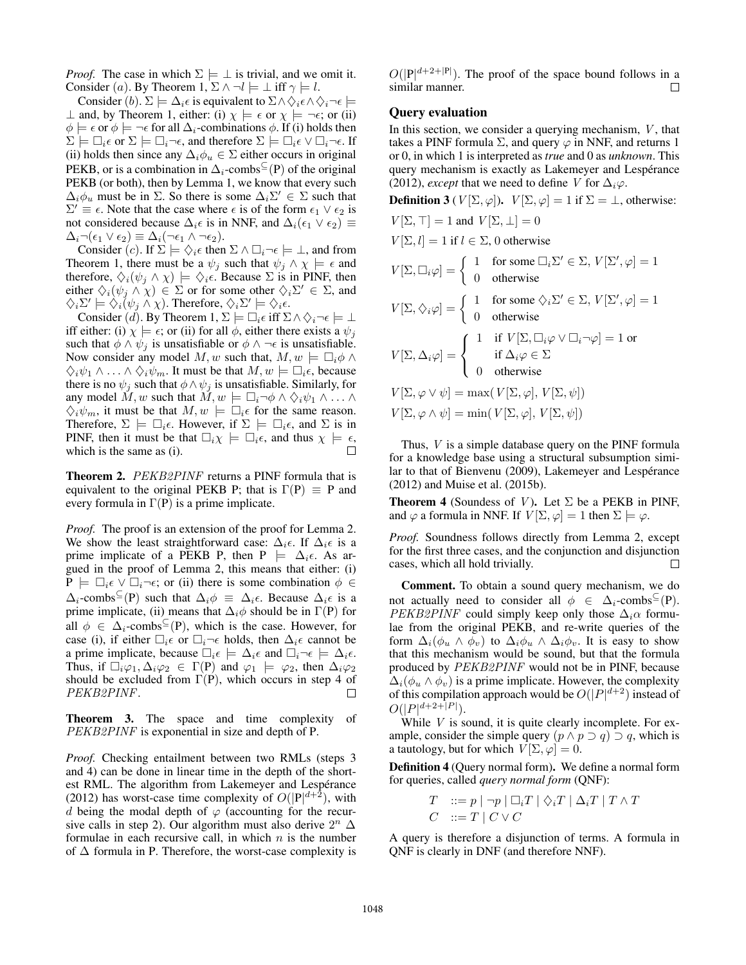*Proof.* The case in which  $\Sigma \models \bot$  is trivial, and we omit it. Consider (a). By Theorem 1,  $\Sigma \wedge \neg l \models \bot$  iff  $\gamma \models l$ .

Consider (b).  $\Sigma \models \Delta_i \epsilon$  is equivalent to  $\Sigma \wedge \Diamond_i \epsilon \wedge \Diamond_i \neg \epsilon \models$  $\perp$  and, by Theorem 1, either: (i)  $\chi \models \epsilon$  or  $\chi \models \neg \epsilon$ ; or (ii)  $\phi \models \epsilon$  or  $\phi \models \neg \epsilon$  for all  $\Delta_i$ -combinations  $\phi$ . If (i) holds then  $\Sigma \models \Box_i \epsilon$  or  $\Sigma \models \Box_i \neg \epsilon$ , and therefore  $\Sigma \models \Box_i \epsilon \vee \Box_i \neg \epsilon$ . If (ii) holds then since any  $\Delta_i \phi_u \in \Sigma$  either occurs in original PEKB, or is a combination in  $\Delta_i$ -combs<sup> $\subseteq$ </sup>(P) of the original PEKB (or both), then by Lemma 1, we know that every such  $\Delta_i \phi_u$  must be in  $\Sigma$ . So there is some  $\Delta_i \Sigma' \in \Sigma$  such that  $\Sigma' \equiv \epsilon$ . Note that the case where  $\epsilon$  is of the form  $\epsilon_1 \vee \epsilon_2$  is not considered because  $\Delta_i \epsilon$  is in NNF, and  $\Delta_i(\epsilon_1 \vee \epsilon_2) \equiv$  $\Delta_i \neg(\epsilon_1 \vee \epsilon_2) \equiv \Delta_i(\neg \epsilon_1 \wedge \neg \epsilon_2).$ 

Consider (*c*). If  $\Sigma \models \Diamond_i \epsilon$  then  $\Sigma \land \Box_i \neg \epsilon \models \bot$ , and from Theorem 1, there must be a  $\psi_j$  such that  $\psi_j \wedge \chi \models \epsilon$  and therefore,  $\Diamond_i(\psi_j \land \chi) \models \Diamond_i \epsilon$ . Because  $\Sigma$  is in PINF, then either  $\Diamond_i(\psi_j \land \chi) \in \Sigma$  or for some other  $\Diamond_i \Sigma' \in \Sigma$ , and  $\Diamond_i \Sigma' \models \Diamond_i (\psi_j \wedge \chi)$ . Therefore,  $\Diamond_i \Sigma' \models \Diamond_i \epsilon$ .

Consider (*d*). By Theorem 1,  $\Sigma \models \Box_i \epsilon$  iff  $\Sigma \land \Diamond_i \neg \epsilon \models \bot$ iff either: (i)  $\chi \models \epsilon$ ; or (ii) for all  $\phi$ , either there exists a  $\psi_j$ such that  $\phi \wedge \psi_j$  is unsatisfiable or  $\phi \wedge \neg \epsilon$  is unsatisfiable. Now consider any model M, w such that,  $M, w \models \Box_i \phi \land \Box_j$  $\Diamond_i \psi_1 \wedge \ldots \wedge \Diamond_i \psi_m$ . It must be that  $M, w \models \Box_i \epsilon$ , because there is no  $\psi_i$  such that  $\phi \wedge \psi_i$  is unsatisfiable. Similarly, for any model  $M, w$  such that  $M, w \models \Box_i \neg \phi \land \Diamond_i \psi_1 \land \dots \land$  $\Diamond_i \psi_m$ , it must be that  $M, w \models \Box_i \epsilon$  for the same reason. Therefore,  $\Sigma \models \Box_i \epsilon$ . However, if  $\Sigma \models \Box_i \epsilon$ , and  $\Sigma$  is in PINF, then it must be that  $\Box_i \chi \models \Box_i \epsilon$ , and thus  $\chi \models \epsilon$ , which is the same as (i).

Theorem 2. PEKB2PINF returns a PINF formula that is equivalent to the original PEKB P; that is  $\Gamma(P) \equiv P$  and every formula in  $\Gamma(P)$  is a prime implicate.

*Proof.* The proof is an extension of the proof for Lemma 2. We show the least straightforward case:  $\Delta_i \epsilon$ . If  $\Delta_i \epsilon$  is a prime implicate of a PEKB P, then  $P \models \Delta_i \epsilon$ . As argued in the proof of Lemma 2, this means that either: (i)  $P \models \Box_i \epsilon \lor \Box_i \neg \epsilon$ ; or (ii) there is some combination  $\phi \in$  $\Delta_i$ -combs<sup>⊆</sup>(P) such that  $\Delta_i \phi \equiv \Delta_i \epsilon$ . Because  $\Delta_i \epsilon$  is a prime implicate, (ii) means that  $\Delta_i \phi$  should be in  $\Gamma(P)$  for all  $\phi \in \Delta_i$ -combs<sup> $\subseteq$ </sup>(P), which is the case. However, for case (i), if either  $\Box_i \in \text{or } \Box_i \neg \in$  holds, then  $\Delta_i \in \text{cannot be}$ a prime implicate, because  $\Box_i \epsilon \models \Delta_i \epsilon$  and  $\Box_i \neg \epsilon \models \Delta_i \epsilon$ . Thus, if  $\Box_i\varphi_1, \Delta_i\varphi_2 \in \Gamma(P)$  and  $\varphi_1 \models \varphi_2$ , then  $\Delta_i\varphi_2$ should be excluded from  $\Gamma(P)$ , which occurs in step 4 of PEKB2PINF. П

Theorem 3. The space and time complexity of PEKB2PINF is exponential in size and depth of P.

*Proof.* Checking entailment between two RMLs (steps 3 and 4) can be done in linear time in the depth of the shortest RML. The algorithm from Lakemeyer and Lespérance (2012) has worst-case time complexity of  $O(|P|^{d+2})$ , with d being the modal depth of  $\varphi$  (accounting for the recursive calls in step 2). Our algorithm must also derive  $2^n \Delta$ formulae in each recursive call, in which  $n$  is the number of  $\Delta$  formula in P. Therefore, the worst-case complexity is

 $O(|P|^{d+2+|P|})$ . The proof of the space bound follows in a similar manner.  $\Box$ 

# Query evaluation

In this section, we consider a querying mechanism,  $V$ , that takes a PINF formula  $\Sigma$ , and query  $\varphi$  in NNF, and returns 1 or 0, in which 1 is interpreted as *true* and 0 as *unknown*. This query mechanism is exactly as Lakemeyer and Lespérance (2012), *except* that we need to define V for  $\Delta_i \varphi$ .

**Definition 3** ( $V[\Sigma, \varphi]$ ).  $V[\Sigma, \varphi] = 1$  if  $\Sigma = \bot$ , otherwise:

 $\varphi] = 1$ 

$$
V[\Sigma, \top] = 1 \text{ and } V[\Sigma, \bot] = 0
$$
  
 
$$
V[\Sigma, l] = 1 \text{ if } l \in \Sigma, 0 \text{ otherwise}
$$
  
 
$$
V[\Sigma, \Box_i \varphi] = \begin{cases} 1 & \text{for some } \Box_i \Sigma' \in \Sigma, V[\Sigma', \\ 0 & \text{otherwise} \end{cases}
$$

$$
V[\Sigma, \diamondsuit_i \varphi] = \begin{cases} 1 & \text{for some } \diamondsuit_i \Sigma' \in \Sigma, V[\Sigma', \varphi] = 1 \\ 0 & \text{otherwise} \end{cases}
$$

$$
V[\Sigma, \Delta_i \varphi] = \begin{cases} 1 & \text{if } V[\Sigma, \Box_i \varphi \lor \Box_i \neg \varphi] = 1 \text{ or} \\ & \text{if } \Delta_i \varphi \in \Sigma \\ 0 & \text{otherwise} \end{cases}
$$

$$
V[\Sigma, \varphi \lor \psi] = \max(V[\Sigma, \varphi], V[\Sigma, \psi])
$$
  

$$
V[\Sigma, \varphi \land \psi] = \min(V[\Sigma, \varphi], V[\Sigma, \psi])
$$

Thus, V is a simple database query on the PINF formula for a knowledge base using a structural subsumption similar to that of Bienvenu (2009), Lakemeyer and Lespérance (2012) and Muise et al. (2015b).

**Theorem 4** (Soundess of V). Let  $\Sigma$  be a PEKB in PINF, and  $\varphi$  a formula in NNF. If  $V[\Sigma, \varphi] = 1$  then  $\Sigma \models \varphi$ .

*Proof.* Soundness follows directly from Lemma 2, except for the first three cases, and the conjunction and disjunction cases, which all hold trivially. П

Comment. To obtain a sound query mechanism, we do not actually need to consider all  $\phi \in \Delta_i$ -combs<sup> $\subseteq$ </sup>(P). PEKB2PINF could simply keep only those  $\Delta_i \alpha$  formulae from the original PEKB, and re-write queries of the form  $\Delta_i(\phi_u \wedge \phi_v)$  to  $\Delta_i \phi_u \wedge \Delta_i \phi_v$ . It is easy to show that this mechanism would be sound, but that the formula produced by PEKB2PINF would not be in PINF, because  $\Delta_i(\phi_u \wedge \phi_v)$  is a prime implicate. However, the complexity of this compilation approach would be  $O(|P|^{d+2})$  instead of  $O(|P|^{d+2+\lceil P \rceil}).$ 

While  $V$  is sound, it is quite clearly incomplete. For example, consider the simple query  $(p \land p \supset q) \supset q$ , which is a tautology, but for which  $V[\Sigma, \varphi]=0$ .

Definition 4 (Query normal form). We define a normal form for queries, called *query normal form* (QNF):

$$
T ::= p | \neg p | \Box_i T | \Diamond_i T | \Delta_i T | T \wedge T
$$
  

$$
C ::= T | C \vee C
$$

A query is therefore a disjunction of terms. A formula in QNF is clearly in DNF (and therefore NNF).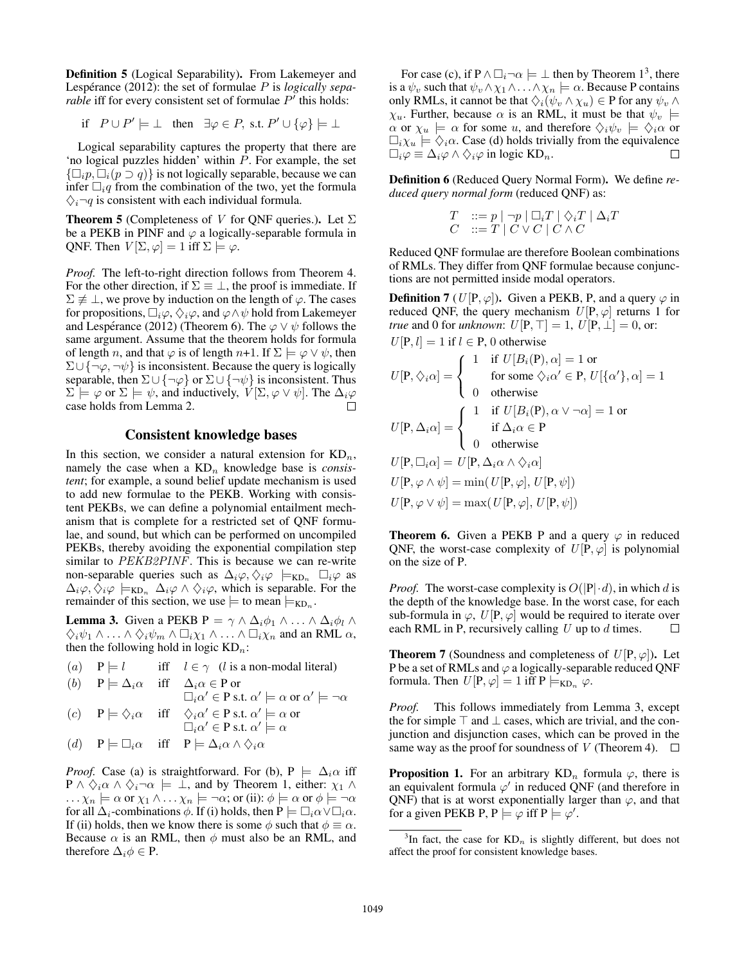Definition 5 (Logical Separability). From Lakemeyer and Lespérance (2012): the set of formulae P is *logically separable* iff for every consistent set of formulae  $P'$  this holds:

$$
\text{if } P \cup P' \models \bot \quad \text{then } \exists \varphi \in P, \text{ s.t. } P' \cup \{\varphi\} \models \bot
$$

Logical separability captures the property that there are 'no logical puzzles hidden' within P. For example, the set  $\{\Box_i p, \Box_i (p \supset q)\}\$ is not logically separable, because we can infer  $\Box_i q$  from the combination of the two, yet the formula  $\Diamond_i \neg q$  is consistent with each individual formula.

**Theorem 5** (Completeness of V for QNF queries.). Let  $\Sigma$ be a PEKB in PINF and  $\varphi$  a logically-separable formula in QNF. Then  $V[\Sigma, \varphi] = 1$  iff  $\Sigma \models \varphi$ .

*Proof.* The left-to-right direction follows from Theorem 4. For the other direction, if  $\Sigma \equiv \perp$ , the proof is immediate. If  $\Sigma \not\equiv \bot$ , we prove by induction on the length of  $\varphi$ . The cases for propositions,  $\Box_i\varphi,\Diamond_i\varphi,$  and  $\varphi\land\psi$  hold from Lakemeyer and Lespérance (2012) (Theorem 6). The  $\varphi \lor \psi$  follows the same argument. Assume that the theorem holds for formula of length n, and that  $\varphi$  is of length n+1. If  $\Sigma \models \varphi \lor \psi$ , then  $\Sigma \cup {\neg \varphi, \neg \psi}$  is inconsistent. Because the query is logically separable, then  $\Sigma \cup {\neg \varphi}$  or  $\Sigma \cup {\neg \psi}$  is inconsistent. Thus  $\Sigma \models \varphi$  or  $\Sigma \models \psi$ , and inductively,  $V[\Sigma, \varphi \vee \psi]$ . The  $\Delta_i \varphi$ case holds from Lemma 2.  $\Box$ 

# Consistent knowledge bases

In this section, we consider a natural extension for  $KD_n$ , namely the case when a  $KD_n$  knowledge base is *consistent*; for example, a sound belief update mechanism is used to add new formulae to the PEKB. Working with consistent PEKBs, we can define a polynomial entailment mechanism that is complete for a restricted set of QNF formulae, and sound, but which can be performed on uncompiled PEKBs, thereby avoiding the exponential compilation step similar to PEKB2PINF. This is because we can re-write non-separable queries such as  $\Delta_i \varphi, \Diamond_i \varphi \models_{KD_n} \Box_i \varphi$  as  $\Delta_i\varphi, \Diamond_i\varphi \models_{\text{KD}_n} \Delta_i\varphi \land \Diamond_i\varphi$ , which is separable. For the remainder of this section, we use  $\models$  to mean  $\models_{\text{KD}_n}$ .

**Lemma 3.** Given a PEKB  $P = \gamma \wedge \Delta_i \phi_1 \wedge \ldots \wedge \Delta_i \phi_l \wedge \Delta_i \phi_l$  $\diamondsuit_i \psi_1 \wedge \ldots \wedge \diamondsuit_i \psi_m \wedge \Box_i \chi_1 \wedge \ldots \wedge \Box_i \chi_n$  and an RML  $\alpha$ , then the following hold in logic  $KD_n$ :

(a)  $P \models l$  iff  $l \in \gamma$  (l is a non-modal literal) (b)  $P \models \Delta_i \alpha$  iff  $\Delta_i \alpha \in P$  or  $\Box_i \alpha' \in P$  s.t.  $\alpha' \models \alpha$  or  $\alpha' \models \neg \alpha$  $(c)$   $P \models \Diamond_i \alpha$  iff  $\Diamond_i \alpha' \in P \text{ s.t. } \alpha' \models \alpha \text{ or }$ 

$$
\Box_i \alpha' \in P \text{ s.t. } \alpha' \models \alpha
$$

(d) 
$$
P \models \Box_i \alpha
$$
 iff  $P \models \Delta_i \alpha \land \Diamond_i \alpha$ 

*Proof.* Case (a) is straightforward. For (b),  $P \models \Delta_i \alpha$  iff  $P \wedge \Diamond_i \alpha \wedge \Diamond_i \neg \alpha \models \bot$ , and by Theorem 1, either:  $\chi_1 \wedge \Box$  $\ldots \chi_n \models \alpha$  or  $\chi_1 \land \ldots \chi_n \models \neg \alpha$ ; or (ii):  $\phi \models \alpha$  or  $\phi \models \neg \alpha$ for all  $\Delta_i$ -combinations  $\phi$ . If (i) holds, then  $P \models \Box_i \alpha \lor \Box_i \alpha$ . If (ii) holds, then we know there is some  $\phi$  such that  $\phi \equiv \alpha$ . Because  $\alpha$  is an RML, then  $\phi$  must also be an RML, and therefore  $\Delta_i \phi \in P$ .

For case (c), if  $P \wedge \Box_i \neg \alpha \models \bot$  then by Theorem 1<sup>3</sup>, there is a  $\psi_v$  such that  $\psi_v \wedge \chi_1 \wedge \ldots \wedge \chi_n \models \alpha$ . Because P contains only RMLs, it cannot be that  $\Diamond_i(\psi_v \land \chi_u) \in \mathbb{P}$  for any  $\psi_v \land \chi_v$  $\chi_u$ . Further, because  $\alpha$  is an RML, it must be that  $\psi_v$   $\models$  $\alpha$  or  $\chi_u \models \alpha$  for some u, and therefore  $\Diamond_i \psi_v \models \Diamond_i \alpha$  or  $\Box_i \chi_u \models \Diamond_i \alpha$ . Case (d) holds trivially from the equivalence  $\Box_i \varphi \equiv \Delta_i \varphi \wedge \Diamond_i \varphi$  in logic KD<sub>n</sub>.  $\Box$ 

Definition 6 (Reduced Query Normal Form). We define *reduced query normal form* (reduced QNF) as:

$$
\begin{array}{ll} T & ::= p \mid \neg p \mid \Box_i T \mid \Diamond_i T \mid \Delta_i T \\ C & ::= T \mid C \vee C \mid C \wedge C \end{array}
$$

Reduced QNF formulae are therefore Boolean combinations of RMLs. They differ from QNF formulae because conjunctions are not permitted inside modal operators.

**Definition 7** (U[P,  $\varphi$ ]). Given a PEKB, P, and a query  $\varphi$  in reduced QNF, the query mechanism  $U[P,\varphi]$  returns 1 for *true* and 0 for *unknown*:  $U[P, T] = 1, U[P, \perp] = 0$ , or:  $U[P, l]=1$  if  $l \in P$ , 0 otherwise

$$
U[\mathbf{P}, \diamondsuit_i \alpha] = \begin{cases} 1 & \text{if } U[B_i(\mathbf{P}), \alpha] = 1 \text{ or} \\ & \text{for some } \diamondsuit_i \alpha' \in \mathbf{P}, U[\{\alpha'\}, \alpha] = 1 \\ 0 & \text{otherwise} \end{cases}
$$

$$
U[\mathbf{P}, \Delta_i \alpha] = \begin{cases} 1 & \text{if } U[B_i(\mathbf{P}), \alpha \vee \neg \alpha] = 1 \text{ or} \\ & \text{if } \Delta_i \alpha \in \mathbf{P} \\ 0 & \text{otherwise} \end{cases}
$$

$$
U[\mathbf{P}, \Box_i \alpha] = U[\mathbf{P}, \Delta_i \alpha \wedge \diamondsuit_i \alpha]
$$

$$
U[\mathbf{P}, \varphi \wedge \psi] = \min(U[\mathbf{P}, \varphi], U[\mathbf{P}, \psi])
$$

$$
U[\mathbf{P}, \varphi \vee \psi] = \max(U[\mathbf{P}, \varphi], U[\mathbf{P}, \psi])
$$

**Theorem 6.** Given a PEKB P and a query  $\varphi$  in reduced QNF, the worst-case complexity of  $U[\overline{P}, \varphi]$  is polynomial on the size of P.

*Proof.* The worst-case complexity is  $O(|P| \cdot d)$ , in which d is the depth of the knowledge base. In the worst case, for each sub-formula in  $\varphi$ ,  $U[P, \varphi]$  would be required to iterate over each RML in P, recursively calling  $U$  up to  $d$  times.  $\Box$ 

**Theorem 7** (Soundness and completeness of  $U[P,\varphi]$ ). Let P be a set of RMLs and  $\varphi$  a logically-separable reduced QNF formula. Then  $U[P,\varphi]=1$  iff  $P \models_{KD_n} \varphi$ .

*Proof.* This follows immediately from Lemma 3, except the for simple  $\top$  and  $\bot$  cases, which are trivial, and the conjunction and disjunction cases, which can be proved in the same way as the proof for soundness of V (Theorem 4).  $\Box$ 

**Proposition 1.** For an arbitrary  $KD_n$  formula  $\varphi$ , there is an equivalent formula  $\varphi'$  in reduced QNF (and therefore in QNF) that is at worst exponentially larger than  $\varphi$ , and that for a given PEKB P,  $P \models \varphi$  iff  $P \models \varphi'$ .

<sup>&</sup>lt;sup>3</sup>In fact, the case for  $KD_n$  is slightly different, but does not affect the proof for consistent knowledge bases.